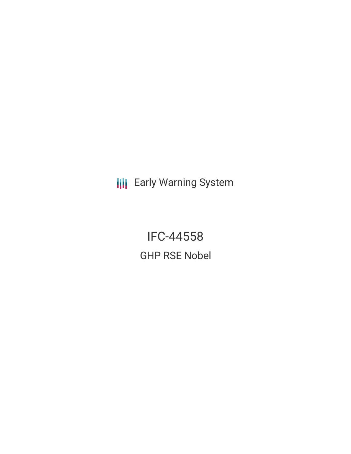**III** Early Warning System

IFC-44558 GHP RSE Nobel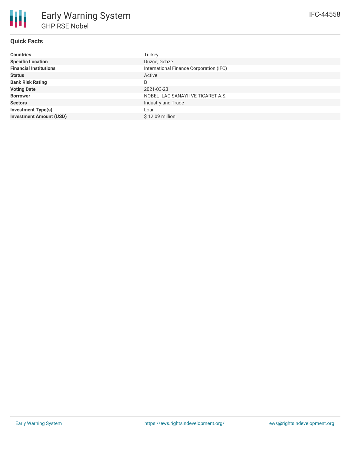# **Quick Facts**

| <b>Countries</b>               | Turkey                                  |
|--------------------------------|-----------------------------------------|
| <b>Specific Location</b>       | Duzce; Gebze                            |
| <b>Financial Institutions</b>  | International Finance Corporation (IFC) |
| <b>Status</b>                  | Active                                  |
| <b>Bank Risk Rating</b>        | B                                       |
| <b>Voting Date</b>             | 2021-03-23                              |
| <b>Borrower</b>                | NOBEL ILAC SANAYII VE TICARET A.S.      |
| <b>Sectors</b>                 | Industry and Trade                      |
| <b>Investment Type(s)</b>      | Loan                                    |
| <b>Investment Amount (USD)</b> | $$12.09$ million                        |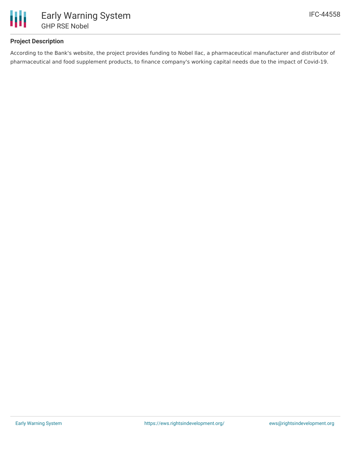

# **Project Description**

According to the Bank's website, the project provides funding to Nobel Ilac, a pharmaceutical manufacturer and distributor of pharmaceutical and food supplement products, to finance company's working capital needs due to the impact of Covid-19.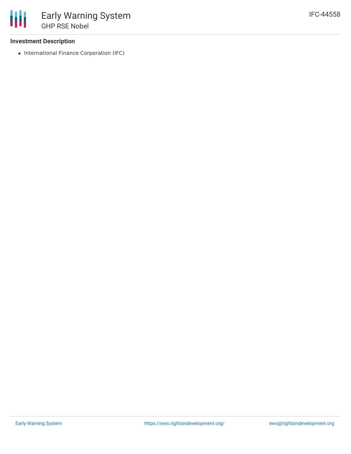## **Investment Description**

• International Finance Corporation (IFC)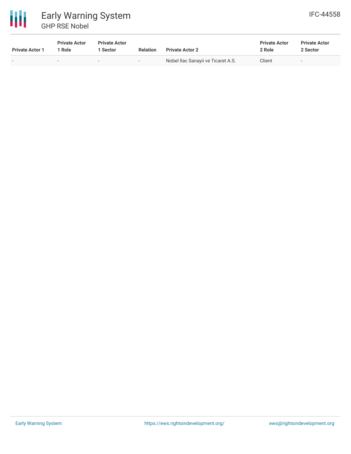

# 冊 Early Warning System GHP RSE Nobel

| <b>Private Actor 1</b>   | <b>Private Actor</b><br>1 Role | <b>Private Actor</b><br>1 Sector | <b>Relation</b>          | <b>Private Actor 2</b>             | <b>Private Actor</b><br>2 Role | <b>Private Actor</b><br>2 Sector |  |
|--------------------------|--------------------------------|----------------------------------|--------------------------|------------------------------------|--------------------------------|----------------------------------|--|
| $\overline{\phantom{0}}$ |                                |                                  | $\overline{\phantom{a}}$ | Nobel Ilac Sanayii ve Ticaret A.S. | Client                         | $\,$                             |  |